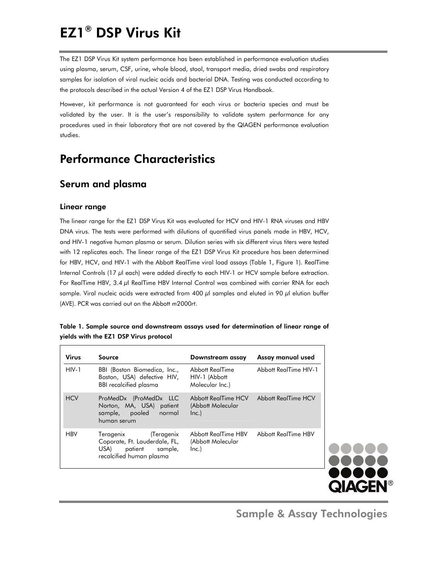# EZ1® DSP Virus Kit

The EZ1 DSP Virus Kit system performance has been established in performance evaluation studies using plasma, serum, CSF, urine, whole blood, stool, transport media, dried swabs and respiratory samples for isolation of viral nucleic acids and bacterial DNA. Testing was conducted according to the protocols described in the actual Version 4 of the EZ1 DSP Virus Handbook.

However, kit performance is not guaranteed for each virus or bacteria species and must be validated by the user. It is the user's responsibility to validate system performance for any procedures used in their laboratory that are not covered by the QIAGEN performance evaluation studies.

# Performance Characteristics

# Serum and plasma

### Linear range

The linear range for the EZ1 DSP Virus Kit was evaluated for HCV and HIV-1 RNA viruses and HBV DNA virus. The tests were performed with dilutions of quantified virus panels made in HBV, HCV, and HIV-1 negative human plasma or serum. Dilution series with six different virus titers were tested with 12 replicates each. The linear range of the EZ1 DSP Virus Kit procedure has been determined for HBV, HCV, and HIV-1 with the Abbott RealTi*m*e viral load assays (Table 1, Figure 1). RealTi*m*e Internal Controls (17 μl each) were added directly to each HIV-1 or HCV sample before extraction. For RealTi*m*e HBV, 3.4 μl RealTi*m*e HBV Internal Control was combined with carrier RNA for each sample. Viral nucleic acids were extracted from 400 μl samples and eluted in 90 μl elution buffer (AVE). PCR was carried out on the Abbott *m*2000*rt*.

|                                        | Table 1. Sample source and downstream assays used for determination of linear range of |
|----------------------------------------|----------------------------------------------------------------------------------------|
| yields with the EZ1 DSP Virus protocol |                                                                                        |

| <b>Virus</b> | Source                                                                                                    | Downstream assay                                    | Assay manual used     |
|--------------|-----------------------------------------------------------------------------------------------------------|-----------------------------------------------------|-----------------------|
| $HIV-1$      | BBI (Boston Biomedica, Inc.,<br>Boston, USA) defective HIV,<br><b>BBI</b> recalcified plasma              | Abbott RealTime<br>HIV-1 (Abbott<br>Molecular Inc.) | Abbott RealTime HIV-1 |
| <b>HCV</b>   | ProMedDx (ProMedDx LLC<br>Norton, MA, USA) patient<br>sample, pooled normal<br>human serum                | Abbott RealTime HCV<br>(Abbott Molecular<br>Inc.)   | Abbott RealTime HCV   |
| <b>HBV</b>   | Teragenix (Teragenix<br>Coporate, Ft. Lauderdale, FL,<br>USA) patient sample,<br>recalcified human plasma | Abbott RealTime HBV<br>(Abbott Molecular<br>Inc.)   | Abbott RealTime HBV   |



Sample & Assay Technologies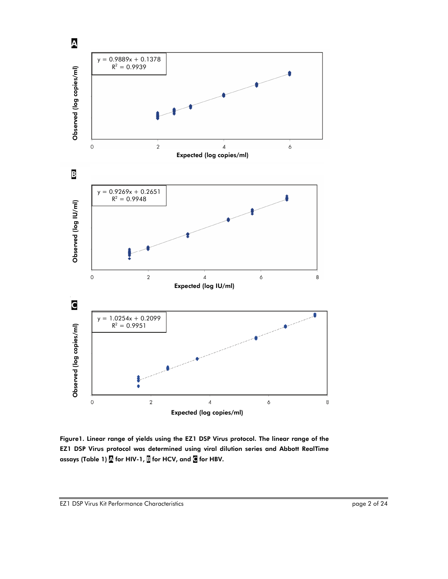

Figure1. Linear range of yields using the EZ1 DSP Virus protocol. The linear range of the EZ1 DSP Virus protocol was determined using viral dilution series and Abbott RealTi*m*e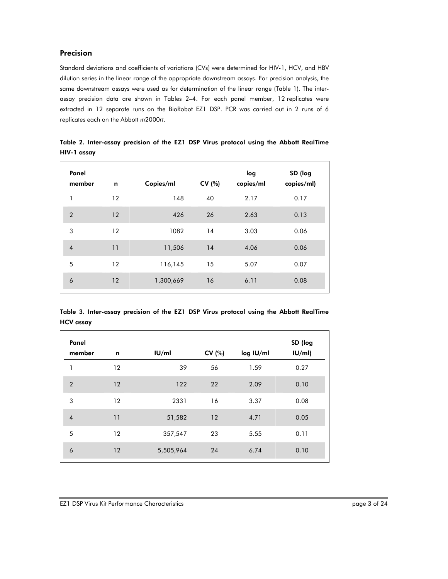# Precision

Standard deviations and coefficients of variations (CVs) were determined for HIV-1, HCV, and HBV dilution series in the linear range of the appropriate downstream assays. For precision analysis, the same downstream assays were used as for determination of the linear range (Table 1). The interassay precision data are shown in Tables 2–4. For each panel member, 12 replicates were extracted in 12 separate runs on the BioRobot EZ1 DSP. PCR was carried out in 2 runs of 6 replicates each on the Abbott *m*2000*rt*.

| Panel<br>member | n  | Copies/ml | CV (%) | log<br>copies/ml | SD (log<br>copies/ml) |
|-----------------|----|-----------|--------|------------------|-----------------------|
| 1               | 12 | 148       | 40     | 2.17             | 0.17                  |
| $\overline{2}$  | 12 | 426       | 26     | 2.63             | 0.13                  |
| 3               | 12 | 1082      | 14     | 3.03             | 0.06                  |
| $\overline{4}$  | 11 | 11,506    | 14     | 4.06             | 0.06                  |
| 5               | 12 | 116,145   | 15     | 5.07             | 0.07                  |
| 6               | 12 | 1,300,669 | 16     | 6.11             | 0.08                  |

Table 2. Inter-assay precision of the EZ1 DSP Virus protocol using the Abbott RealTi*m*e HIV-1 assay

| Table 3. Inter-assay precision of the EZ1 DSP Virus protocol using the Abbott RealTime |  |  |  |  |
|----------------------------------------------------------------------------------------|--|--|--|--|
| <b>HCV</b> assay                                                                       |  |  |  |  |

| Panel          |         |           |        |           | SD (log |
|----------------|---------|-----------|--------|-----------|---------|
| member         | n       | U/m       | CV (%) | log IU/ml | IU/ml   |
| 1              | $12 \,$ | 39        | 56     | 1.59      | 0.27    |
| $\overline{2}$ | 12      | 122       | 22     | 2.09      | 0.10    |
| 3              | 12      | 2331      | 16     | 3.37      | 0.08    |
| $\overline{4}$ | 11      | 51,582    | 12     | 4.71      | 0.05    |
| 5              | 12      | 357,547   | 23     | 5.55      | 0.11    |
| 6              | 12      | 5,505,964 | 24     | 6.74      | 0.10    |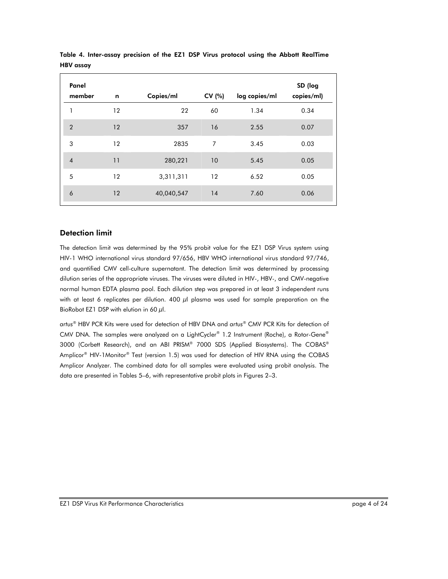| Panel<br>member | n       | Copies/ml  | CV (%) | log copies/ml | SD (log<br>copies/ml) |
|-----------------|---------|------------|--------|---------------|-----------------------|
| 1               | $12 \,$ | 22         | 60     | 1.34          | 0.34                  |
| $\overline{2}$  | 12      | 357        | 16     | 2.55          | 0.07                  |
| 3               | 12      | 2835       | 7      | 3.45          | 0.03                  |
| $\overline{4}$  | 11      | 280,221    | 10     | 5.45          | 0.05                  |
| 5               | 12      | 3,311,311  | 12     | 6.52          | 0.05                  |
| 6               | 12      | 40,040,547 | 14     | 7.60          | 0.06                  |

Table 4. Inter-assay precision of the EZ1 DSP Virus protocol using the Abbott RealTi*m*e HBV assay

### Detection limit

The detection limit was determined by the 95% probit value for the EZ1 DSP Virus system using HIV-1 WHO international virus standard 97/656, HBV WHO international virus standard 97/746, and quantified CMV cell-culture supernatant. The detection limit was determined by processing dilution series of the appropriate viruses. The viruses were diluted in HIV-, HBV-, and CMV-negative normal human EDTA plasma pool. Each dilution step was prepared in at least 3 independent runs with at least 6 replicates per dilution. 400  $\mu$ l plasma was used for sample preparation on the BioRobot EZ1 DSP with elution in 60  $\mu$ l.

*artus*® HBV PCR Kits were used for detection of HBV DNA and *artus*® CMV PCR Kits for detection of CMV DNA. The samples were analyzed on a LightCycler® 1.2 Instrument (Roche), a Rotor-Gene® 3000 (Corbett Research), and an ABI PRISM® 7000 SDS (Applied Biosystems). The COBAS® Amplicor® HIV-1Monitor® Test (version 1.5) was used for detection of HIV RNA using the COBAS Amplicor Analyzer. The combined data for all samples were evaluated using probit analysis. The data are presented in Tables 5–6, with representative probit plots in Figures 2–3.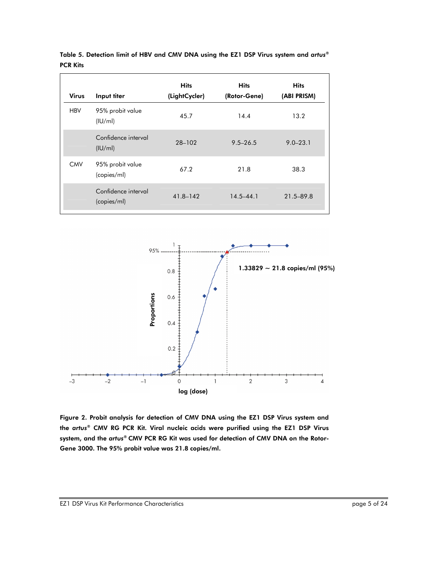| <b>Virus</b> | Input titer                        | <b>Hits</b><br>(LightCycler) | <b>Hits</b><br>(Rotor-Gene) | <b>Hits</b><br>(ABI PRISM) |
|--------------|------------------------------------|------------------------------|-----------------------------|----------------------------|
| <b>HBV</b>   | 95% probit value<br>(IU/ml)        | 45.7                         | 14.4                        | 13.2                       |
|              | Confidence interval<br>(IU/ml)     | 28-102                       | $9.5 - 26.5$                | $9.0 - 23.1$               |
| <b>CMV</b>   | 95% probit value<br>(copies/ml)    | 67.2                         | 21.8                        | 38.3                       |
|              | Confidence interval<br>(copies/ml) | 41.8-142                     | $14.5 - 44.1$               | 21.5-89.8                  |

Table 5. Detection limit of HBV and CMV DNA using the EZ1 DSP Virus system and *artus®* PCR Kits



Figure 2. Probit analysis for detection of CMV DNA using the EZ1 DSP Virus system and the *artus*® CMV RG PCR Kit. Viral nucleic acids were purified using the EZ1 DSP Virus system, and the *artus*® CMV PCR RG Kit was used for detection of CMV DNA on the Rotor-Gene 3000. The 95% probit value was 21.8 copies/ml.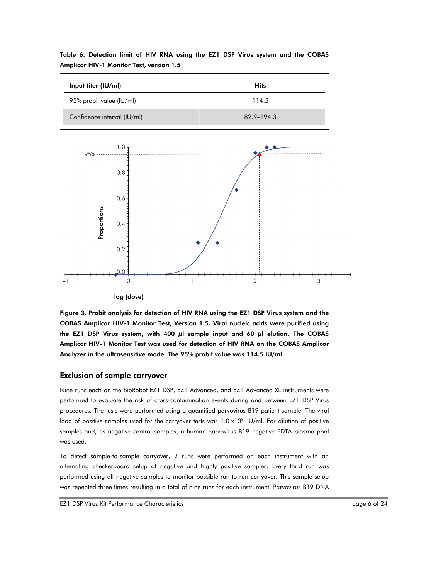| Input titer (IU/ml)         | <b>Hits</b> |
|-----------------------------|-------------|
| 95% probit value (IU/ml)    | 114.5       |
| Confidence interval (IU/ml) | 82.9–194.3  |

Table 6. Detection limit of HIV RNA using the EZ1 DSP Virus system and the COBAS Amplicor HIV-1 Monitor Test, version 1.5



log (dose)

Figure 3. Probit analysis for detection of HIV RNA using the EZ1 DSP Virus system and the COBAS Amplicor HIV-1 Monitor Test, Version 1.5. Viral nucleic acids were purified using the EZ1 DSP Virus system, with 400  $\mu$ l sample input and 60  $\mu$ l elution. The COBAS Amplicor HIV-1 Monitor Test was used for detection of HIV RNA on the COBAS Amplicor Analyzer in the ultrasensitive mode. The 95% probit value was 114.5 IU/ml.

#### Exclusion of sample carryover

Nine runs each on the BioRobot EZ1 DSP, EZ1 Advanced, and EZ1 Advanced XL instruments were performed to evaluate the risk of cross-contamination events during and between EZ1 DSP Virus procedures. The tests were performed using a quantified parvovirus B19 patient sample. The viral load of positive samples used for the carryover tests was  $1.0 \times 10^8$  IU/ml. For dilution of positive samples and, as negative control samples, a human parvovirus B19 negative EDTA plasma pool was used.

To detect sample-to-sample carryover, 2 runs were performed on each instrument with an alternating checkerboard setup of negative and highly positive samples. Every third run was performed using all negative samples to monitor possible run-to-run carryover. This sample setup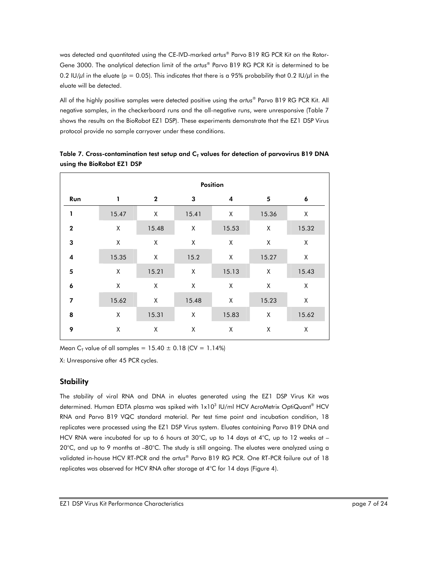was detected and quantitated using the CE-IVD-marked *artus*® Parvo B19 RG PCR Kit on the Rotor-Gene 3000. The analytical detection limit of the *artus*® Parvo B19 RG PCR Kit is determined to be 0.2 IU/ $\mu$ l in the eluate (p = 0.05). This indicates that there is a 95% probability that 0.2 IU/ $\mu$ l in the eluate will be detected.

All of the highly positive samples were detected positive using the *artus*® Parvo B19 RG PCR Kit. All negative samples, in the checkerboard runs and the all-negative runs, were unresponsive (Table 7 shows the results on the BioRobot EZ1 DSP). These experiments demonstrate that the EZ1 DSP Virus protocol provide no sample carryover under these conditions.

|                | Position |              |       |                         |       |       |  |  |  |
|----------------|----------|--------------|-------|-------------------------|-------|-------|--|--|--|
| Run            | 1        | $\mathbf{2}$ | 3     | $\overline{\mathbf{4}}$ | 5     | 6     |  |  |  |
| 1              | 15.47    | Χ            | 15.41 | Χ                       | 15.36 | Χ     |  |  |  |
| $\overline{2}$ | Χ        | 15.48        | Χ     | 15.53                   | χ     | 15.32 |  |  |  |
| 3              | χ        | X            | χ     | χ                       | Χ     | X     |  |  |  |
| 4              | 15.35    | X            | 15.2  | χ                       | 15.27 | χ     |  |  |  |
| 5              | Χ        | 15.21        | χ     | 15.13                   | χ     | 15.43 |  |  |  |
| 6              | χ        | χ            | χ     | χ                       | χ     | χ     |  |  |  |
| $\overline{7}$ | 15.62    | X            | 15.48 | χ                       | 15.23 | χ     |  |  |  |
| 8              | χ        | 15.31        | X     | 15.83                   | χ     | 15.62 |  |  |  |
| 9              | χ        | χ            | Χ     | χ                       | χ     | Χ     |  |  |  |

Table 7. Cross-contamination test setup and  $C<sub>T</sub>$  values for detection of parvovirus B19 DNA using the BioRobot EZ1 DSP

Mean C<sub>T</sub> value of all samples =  $15.40 \pm 0.18$  (CV = 1.14%)

X: Unresponsive after 45 PCR cycles.

#### **Stability**

The stability of viral RNA and DNA in eluates generated using the EZ1 DSP Virus Kit was determined. Human EDTA plasma was spiked with 1x10<sup>3</sup> IU/ml HCV AcroMetrix OptiQuant® HCV RNA and Parvo B19 VQC standard material. Per test time point and incubation condition, 18 replicates were processed using the EZ1 DSP Virus system. Eluates containing Parvo B19 DNA and HCV RNA were incubated for up to 6 hours at 30°C, up to 14 days at 4°C, up to 12 weeks at – 20°C, and up to 9 months at –80°C. The study is still ongoing. The eluates were analyzed using a validated in-house HCV RT-PCR and the *artus*® Parvo B19 RG PCR. One RT-PCR failure out of 18 replicates was observed for HCV RNA after storage at 4°C for 14 days (Figure 4).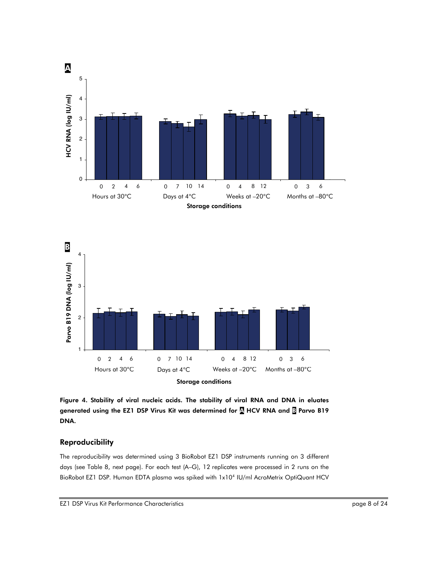



Figure 4. Stability of viral nucleic acids. The stability of viral RNA and DNA in eluates generated using the EZ1 DSP Virus Kit was determined for A HCV RNA and B Parvo B19 DNA.

### Reproducibility

The reproducibility was determined using 3 BioRobot EZ1 DSP instruments running on 3 different days (see Table 8, next page). For each test (A–G), 12 replicates were processed in 2 runs on the BioRobot EZ1 DSP. Human EDTA plasma was spiked with 1x104 IU/ml AcroMetrix OptiQuant HCV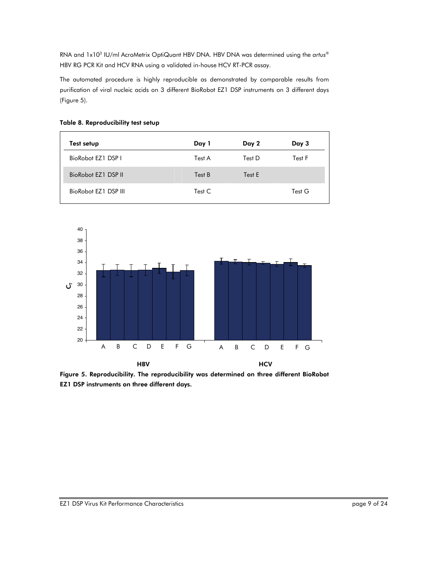RNA and 1x103 IU/ml AcroMetrix OptiQuant HBV DNA. HBV DNA was determined using the *artus*® HBV RG PCR Kit and HCV RNA using a validated in-house HCV RT-PCR assay.

The automated procedure is highly reproducible as demonstrated by comparable results from purification of viral nucleic acids on 3 different BioRobot EZ1 DSP instruments on 3 different days (Figure 5).

| Test setup           | Day 1  | Day 2  | Day 3  |
|----------------------|--------|--------|--------|
| BioRobot EZ1 DSP I   | Test A | Test D | Test F |
| BioRobot EZ1 DSP II  | Test B | Test E |        |
| BioRobot F71 DSP III | Test C |        | Test G |

## Table 8. Reproducibility test setup



Figure 5. Reproducibility. The reproducibility was determined on three different BioRobot EZ1 DSP instruments on three different days.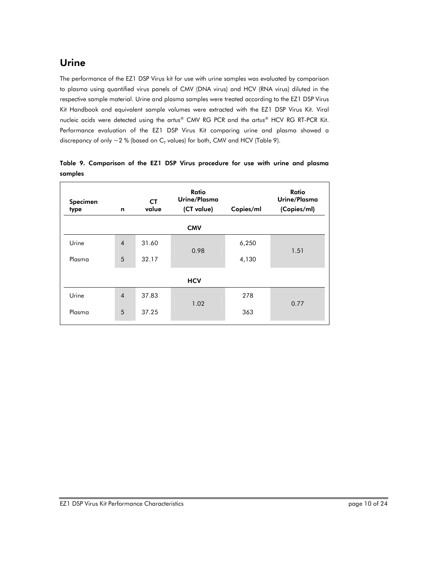# Urine

The performance of the EZ1 DSP Virus kit for use with urine samples was evaluated by comparison to plasma using quantified virus panels of CMV (DNA virus) and HCV (RNA virus) diluted in the respective sample material. Urine and plasma samples were treated according to the EZ1 DSP Virus Kit Handbook and equivalent sample volumes were extracted with the EZ1 DSP Virus Kit. Viral nucleic acids were detected using the *artus*® CMV RG PCR and the *artus*® HCV RG RT-PCR Kit. Performance evaluation of the EZ1 DSP Virus Kit comparing urine and plasma showed a discrepancy of only  $\sim$  2 % (based on C<sub>T</sub> values) for both, CMV and HCV (Table 9).

| n              | СT<br>value | Ratio<br>Urine/Plasma<br>(CT value) | Copies/ml | Ratio<br>Urine/Plasma<br>(Copies/ml) |  |
|----------------|-------------|-------------------------------------|-----------|--------------------------------------|--|
|                |             | <b>CMV</b>                          |           |                                      |  |
| $\overline{4}$ | 31.60       |                                     | 6,250     |                                      |  |
| 5              | 32.17       |                                     | 4,130     | 1.51                                 |  |
|                |             |                                     | 0.98      |                                      |  |

1.02

363

0.77

Urine 4 37.83 278

|         | Table 9. Comparison of the EZ1 DSP Virus procedure for use with urine and plasma |  |  |  |  |  |  |
|---------|----------------------------------------------------------------------------------|--|--|--|--|--|--|
| samples |                                                                                  |  |  |  |  |  |  |

Plasma 5 37.25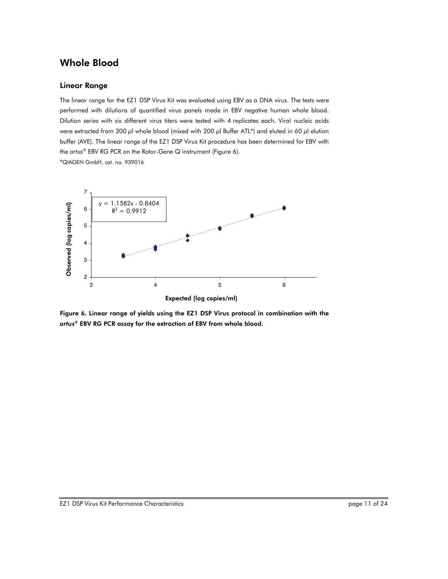# Whole Blood

### Linear Range

The linear range for the EZ1 DSP Virus Kit was evaluated using EBV as a DNA virus. The tests were performed with dilutions of quantified virus panels made in EBV negative human whole blood. Dilution series with six different virus titers were tested with 4 replicates each. Viral nucleic acids were extracted from 200  $\mu$ l whole blood (mixed with 200  $\mu$ l Buffer ATL\*) and eluted in 60  $\mu$ l elution buffer (AVE). The linear range of the EZ1 DSP Virus Kit procedure has been determined for EBV with the *artus*® EBV RG PCR on the Rotor-Gene Q instrument (Figure 6). \*QIAGEN GmbH, cat. no. 939016



Figure 6. Linear range of yields using the EZ1 DSP Virus protocol in combination with the *artus*® EBV RG PCR assay for the extraction of EBV from whole blood.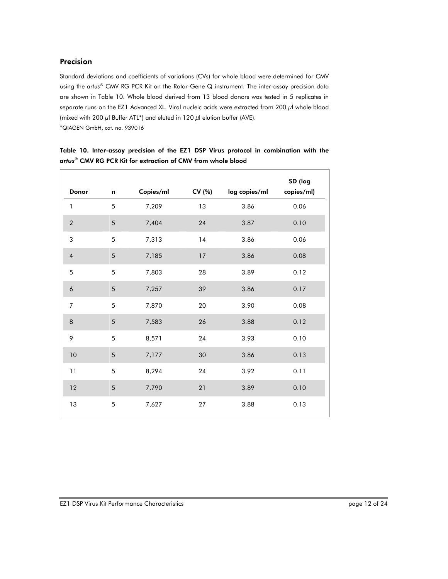# Precision

Standard deviations and coefficients of variations (CVs) for whole blood were determined for CMV using the *artus*® CMV RG PCR Kit on the Rotor-Gene Q instrument. The inter-assay precision data are shown in Table 10. Whole blood derived from 13 blood donors was tested in 5 replicates in separate runs on the EZ1 Advanced XL. Viral nucleic acids were extracted from 200 μl whole blood (mixed with 200  $\mu$ l Buffer ATL\*) and eluted in 120  $\mu$ l elution buffer (AVE). \*QIAGEN GmbH, cat. no. 939016

|                |            |           |        |               | SD (log    |
|----------------|------------|-----------|--------|---------------|------------|
| Donor          | n          | Copies/ml | CV (%) | log copies/ml | copies/ml) |
| $\mathbf{1}$   | 5          | 7,209     | 13     | 3.86          | 0.06       |
| $\sqrt{2}$     | 5          | 7,404     | 24     | 3.87          | 0.10       |
| 3              | 5          | 7,313     | 14     | 3.86          | 0.06       |
| $\sqrt{4}$     | 5          | 7,185     | 17     | 3.86          | 0.08       |
| 5              | 5          | 7,803     | 28     | 3.89          | 0.12       |
| 6              | 5          | 7,257     | 39     | 3.86          | 0.17       |
| $\overline{7}$ | 5          | 7,870     | 20     | 3.90          | 0.08       |
| 8              | 5          | 7,583     | 26     | 3.88          | 0.12       |
| 9              | 5          | 8,571     | 24     | 3.93          | 0.10       |
| 10             | $\sqrt{5}$ | 7,177     | 30     | 3.86          | 0.13       |
| 11             | 5          | 8,294     | 24     | 3.92          | 0.11       |
| $12\,$         | 5          | 7,790     | 21     | 3.89          | 0.10       |
| 13             | 5          | 7,627     | 27     | 3.88          | 0.13       |

Table 10. Inter-assay precision of the EZ1 DSP Virus protocol in combination with the *artus*® CMV RG PCR Kit for extraction of CMV from whole blood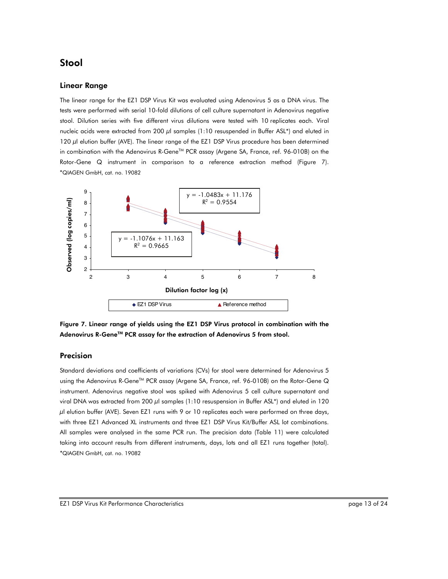# Stool

#### Linear Range

The linear range for the EZ1 DSP Virus Kit was evaluated using Adenovirus 5 as a DNA virus. The tests were performed with serial 10-fold dilutions of cell culture supernatant in Adenovirus negative stool. Dilution series with five different virus dilutions were tested with 10 replicates each. Viral nucleic acids were extracted from 200  $\mu$ l samples (1:10 resuspended in Buffer ASL\*) and eluted in 120 μl elution buffer (AVE). The linear range of the EZ1 DSP Virus procedure has been determined in combination with the Adenovirus R-Gene™ PCR assay (Argene SA, France, ref. 96-010B) on the Rotor-Gene Q instrument in comparison to a reference extraction method (Figure 7). \*QIAGEN GmbH, cat. no. 19082



Figure 7. Linear range of yields using the EZ1 DSP Virus protocol in combination with the Adenovirus R-Gene™ PCR assay for the extraction of Adenovirus 5 from stool.

#### Precision

Standard deviations and coefficients of variations (CVs) for stool were determined for Adenovirus 5 using the Adenovirus R-Gene™ PCR assay (Argene SA, France, ref. 96-010B) on the Rotor-Gene Q instrument. Adenovirus negative stool was spiked with Adenovirus 5 cell culture supernatant and viral DNA was extracted from 200 μl samples (1:10 resuspension in Buffer ASL\*) and eluted in 120  $\mu$ l elution buffer (AVE). Seven EZ1 runs with 9 or 10 replicates each were performed on three days, with three EZ1 Advanced XL instruments and three EZ1 DSP Virus Kit/Buffer ASL lot combinations. All samples were analysed in the same PCR run. The precision data (Table 11) were calculated taking into account results from different instruments, days, lots and all EZ1 runs together (total).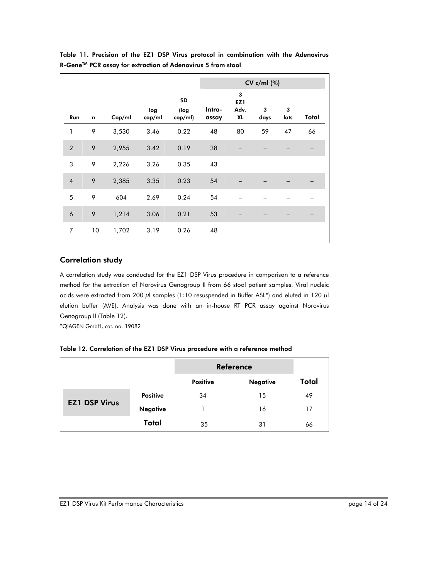|                  |    |        |               |                       | $CV c/ml$ (%)   |                                           |           |           |       |
|------------------|----|--------|---------------|-----------------------|-----------------|-------------------------------------------|-----------|-----------|-------|
| Run              | n  | Cop/ml | log<br>cop/ml | SD<br>(log<br>cop/ml) | Intra-<br>assay | 3<br>EZ <sub>1</sub><br>Adv.<br><b>XL</b> | 3<br>days | 3<br>lots | Total |
| 1                | 9  | 3,530  | 3.46          | 0.22                  | 48              | 80                                        | 59        | 47        | 66    |
| $\overline{2}$   | 9  | 2,955  | 3.42          | 0.19                  | 38              |                                           |           |           |       |
| 3                | 9  | 2,226  | 3.26          | 0.35                  | 43              |                                           |           |           |       |
| $\overline{4}$   | 9  | 2,385  | 3.35          | 0.23                  | 54              |                                           |           |           |       |
| 5                | 9  | 604    | 2.69          | 0.24                  | 54              |                                           |           |           |       |
| $\boldsymbol{6}$ | 9  | 1,214  | 3.06          | 0.21                  | 53              |                                           |           |           |       |
| $\overline{7}$   | 10 | 1,702  | 3.19          | 0.26                  | 48              |                                           |           |           |       |

Table 11. Precision of the EZ1 DSP Virus protocol in combination with the Adenovirus R-Gene™ PCR assay for extraction of Adenovirus 5 from stool

# Correlation study

A correlation study was conducted for the EZ1 DSP Virus procedure in comparison to a reference method for the extraction of Norovirus Genogroup II from 66 stool patient samples. Viral nucleic acids were extracted from 200 μl samples (1:10 resuspended in Buffer ASL\*) and eluted in 120 μl elution buffer (AVE). Analysis was done with an in-house RT PCR assay against Norovirus Genogroup II (Table 12).

\*QIAGEN GmbH, cat. no. 19082

|  |  | Table 12. Correlation of the EZ1 DSP Virus procedure with a reference method |
|--|--|------------------------------------------------------------------------------|
|  |  |                                                                              |

|                      |                 |                 | <b>Reference</b> |       |  |  |
|----------------------|-----------------|-----------------|------------------|-------|--|--|
|                      |                 | <b>Positive</b> | <b>Negative</b>  | Total |  |  |
|                      | <b>Positive</b> | 34              | 15               | 49    |  |  |
| <b>EZ1 DSP Virus</b> | <b>Negative</b> |                 | 16               | 17    |  |  |
|                      | Total           | 35              | 31               | 66    |  |  |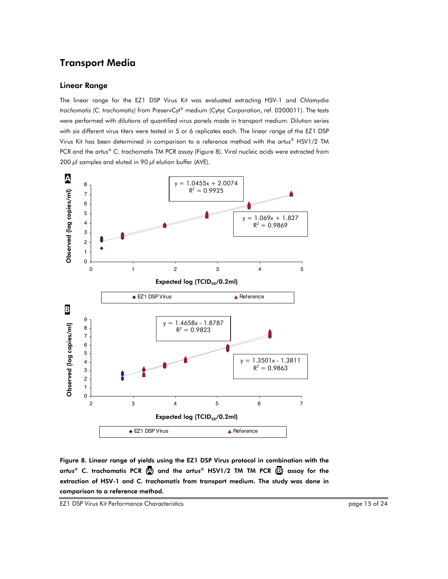# Transport Media

#### Linear Range

The linear range for the EZ1 DSP Virus Kit was evaluated extracting HSV-1 and *Chlamydia trachomatis (C. trachomatis)* from PreservCyt® medium (Cytyc Corporation, ref. 0200011). The tests were performed with dilutions of quantified virus panels made in transport medium. Dilution series with six different virus titers were tested in 5 or 6 replicates each. The linear range of the EZ1 DSP Virus Kit has been determined in comparison to a reference method with the *artus*® HSV1/2 TM PCR and the *artus*® C. trachomatis TM PCR assay (Figure 8). Viral nucleic acids were extracted from 200  $\mu$ l samples and eluted in 90  $\mu$ l elution buffer (AVE).



Figure 8. Linear range of yields using the EZ1 DSP Virus protocol in combination with the *artus*® C. trachomatis PCR (A) and the *artus*® HSV1/2 TM TM PCR (B) assay for the extraction of HSV-1 and *C. trachomatis* from transport medium. The study was done in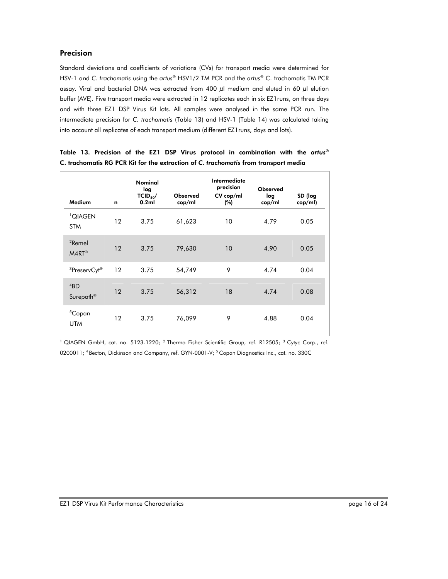# Precision

Standard deviations and coefficients of variations (CVs) for transport media were determined for HSV-1 and *C. trachomatis* using the *artus*® HSV1/2 TM PCR and the *artus*® C. trachomatis TM PCR assay. Viral and bacterial DNA was extracted from 400  $\mu$ l medium and eluted in 60  $\mu$ l elution buffer (AVE). Five transport media were extracted in 12 replicates each in six EZ1runs, on three days and with three EZ1 DSP Virus Kit lots. All samples were analysed in the same PCR run. The intermediate precision for *C. trachomatis* (Table 13) and HSV-1 (Table 14) was calculated taking into account all replicates of each transport medium (different EZ1runs, days and lots).

| Medium                                   | n  | Nominal<br>log<br>$TCID_{50}/$<br>0.2ml | Observed<br>cop/ml | Intermediate<br>precision<br>CV cop/ml<br>(%) | Observed<br>log<br>cop/ml | SD (log<br>cop/ml) |
|------------------------------------------|----|-----------------------------------------|--------------------|-----------------------------------------------|---------------------------|--------------------|
| <sup>1</sup> QIAGEN<br><b>STM</b>        | 12 | 3.75                                    | 61,623             | 10                                            | 4.79                      | 0.05               |
| <sup>2</sup> Remel<br>$M4RT^{\circledR}$ | 12 | 3.75                                    | 79,630             | 10                                            | 4.90                      | 0.05               |
| <sup>3</sup> PreservCyt <sup>®</sup>     | 12 | 3.75                                    | 54,749             | 9                                             | 4.74                      | 0.04               |
| 4BD<br>Surepath <sup>®</sup>             | 12 | 3.75                                    | 56,312             | 18                                            | 4.74                      | 0.08               |
| <sup>5</sup> Copan<br><b>UTM</b>         | 12 | 3.75                                    | 76,099             | 9                                             | 4.88                      | 0.04               |

|  |  |  |  | Table 13. Precision of the EZ1 DSP Virus protocol in combination with the artus®    |  |  |
|--|--|--|--|-------------------------------------------------------------------------------------|--|--|
|  |  |  |  | C. trachomatis RG PCR Kit for the extraction of C. trachomatis from transport media |  |  |

<sup>1</sup> QIAGEN GmbH, cat. no. 5123-1220; <sup>2</sup> Thermo Fisher Scientific Group, ref. R12505; <sup>3</sup> Cytyc Corp., ref. 0200011; <sup>4</sup> Becton, Dickinson and Company, ref. GYN-0001-V; <sup>5</sup> Copan Diagnostics Inc., cat. no. 330C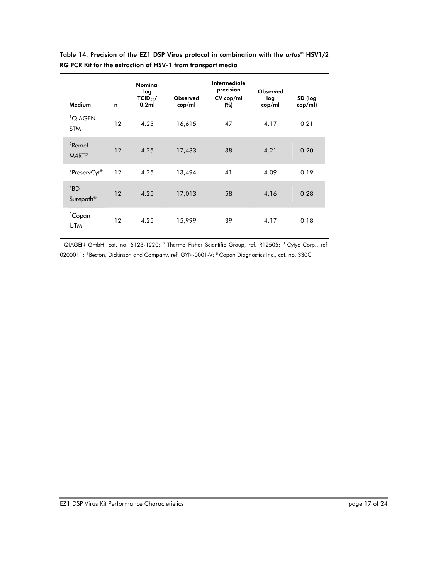| Medium                               | n       | <b>Nominal</b><br>log<br>$TCID_{50}/$<br>0.2ml | <b>Observed</b><br>cop/ml | Intermediate<br>precision<br>CV cop/ml<br>(%) | Observed<br>log<br>cop/ml | SD (log<br>cop/ml) |
|--------------------------------------|---------|------------------------------------------------|---------------------------|-----------------------------------------------|---------------------------|--------------------|
| <sup>1</sup> QIAGEN<br><b>STM</b>    | 12      | 4.25                                           | 16,615                    | 47                                            | 4.17                      | 0.21               |
| ${}^{2}$ Remel<br>$M4RT^{\circledR}$ | 12      | 4.25                                           | 17,433                    | 38                                            | 4.21                      | 0.20               |
| <sup>3</sup> PreservCyt <sup>®</sup> | 12      | 4.25                                           | 13,494                    | 41                                            | 4.09                      | 0.19               |
| 4BD<br>Surepath <sup>®</sup>         | 12      | 4.25                                           | 17,013                    | 58                                            | 4.16                      | 0.28               |
| <sup>5</sup> Copan<br><b>UTM</b>     | $12 \,$ | 4.25                                           | 15,999                    | 39                                            | 4.17                      | 0.18               |

Table 14. Precision of the EZ1 DSP Virus protocol in combination with the *artus*® HSV1/2 RG PCR Kit for the extraction of HSV-1 from transport media

<sup>1</sup> QIAGEN GmbH, cat. no. 5123-1220; <sup>2</sup> Thermo Fisher Scientific Group, ref. R12505; <sup>3</sup> Cytyc Corp., ref. 0200011; <sup>4</sup> Becton, Dickinson and Company, ref. GYN-0001-V; <sup>5</sup> Copan Diagnostics Inc., cat. no. 330C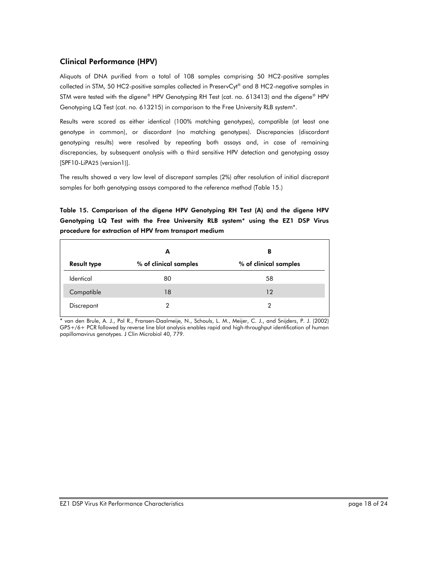# Clinical Performance (HPV)

Aliquots of DNA purified from a total of 108 samples comprising 50 HC2-positive samples collected in STM, 50 HC2-positive samples collected in PreservCyt<sup>®</sup> and 8 HC2-negative samples in STM were tested with the *digene*® HPV Genotyping RH Test (cat. no. 613413) and the *digene*® HPV Genotyping LQ Test (cat. no. 613215) in comparison to the Free University RLB system\*.

Results were scored as either identical (100% matching genotypes), compatible (at least one genotype in common), or discordant (no matching genotypes). Discrepancies (discordant genotyping results) were resolved by repeating both assays and, in case of remaining discrepancies, by subsequent analysis with a third sensitive HPV detection and genotyping assay [SPF10-LiPA25 (version1)].

The results showed a very low level of discrepant samples (2%) after resolution of initial discrepant samples for both genotyping assays compared to the reference method (Table 15.)

Table 15. Comparison of the digene HPV Genotyping RH Test (A) and the digene HPV Genotyping LQ Test with the Free University RLB system\* using the EZ1 DSP Virus procedure for extraction of HPV from transport medium

|                    | A                     | в                     |
|--------------------|-----------------------|-----------------------|
| <b>Result type</b> | % of clinical samples | % of clinical samples |
| Identical          | 80                    | 58                    |
| Compatible         | 18                    | 12                    |
| Discrepant         | 2                     | っ                     |

van den Brule, A. J., Pol R., Fransen-Daalmeije, N., Schouls, L. M., Meijer, C. J., and Snijders, P. J. (2002) GP5+/6+ PCR followed by reverse line blot analysis enables rapid and high-throughput identification of human papillomavirus genotypes. J Clin Microbiol 40, 779.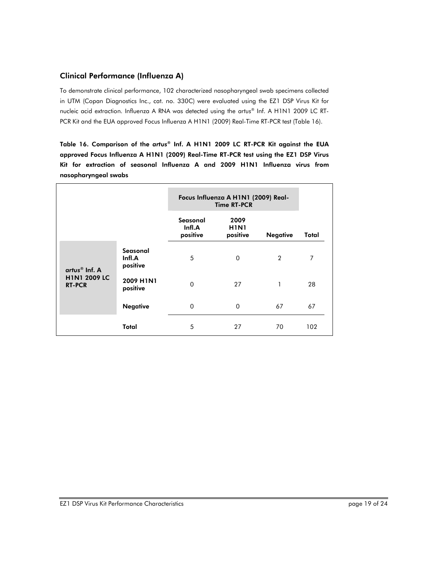# Clinical Performance (Influenza A)

To demonstrate clinical performance, 102 characterized nasopharyngeal swab specimens collected in UTM (Copan Diagnostics Inc., cat. no. 330C) were evaluated using the EZ1 DSP Virus Kit for nucleic acid extraction. Influenza A RNA was detected using the *artus®* Inf. A H1N1 2009 LC RT-PCR Kit and the EUA approved Focus Influenza A H1N1 (2009) Real-Time RT-PCR test (Table 16).

Table 16. Comparison of the *artus®* Inf. A H1N1 2009 LC RT-PCR Kit against the EUA approved Focus Influenza A H1N1 (2009) Real-Time RT-PCR test using the EZ1 DSP Virus Kit for extraction of seasonal Influenza A and 2009 H1N1 Influenza virus from nasopharyngeal swabs

|                                                                     |                                |                                | Focus Influenza A H1N1 (2009) Real-<br><b>Time RT-PCR</b> |                 |       |  |  |
|---------------------------------------------------------------------|--------------------------------|--------------------------------|-----------------------------------------------------------|-----------------|-------|--|--|
|                                                                     |                                | Seasonal<br>Infl.A<br>positive | 2009<br><b>H1N1</b><br>positive                           | <b>Negative</b> | Total |  |  |
| artus $^{\circledR}$ Inf. A<br><b>H1N1 2009 LC</b><br><b>RT-PCR</b> | Seasonal<br>Infl.A<br>positive | 5                              | $\Omega$                                                  | $\overline{2}$  | 7     |  |  |
|                                                                     | 2009 H1N1<br>positive          | $\Omega$                       | 27                                                        | 1               | 28    |  |  |
|                                                                     | <b>Negative</b>                | $\Omega$                       | $\Omega$                                                  | 67              | 67    |  |  |
|                                                                     | Total                          | 5                              | 27                                                        | 70              | 102   |  |  |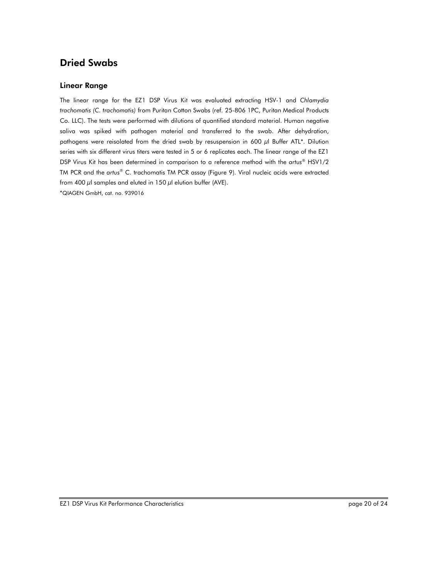# Dried Swabs

### Linear Range

The linear range for the EZ1 DSP Virus Kit was evaluated extracting HSV-1 and *Chlamydia trachomatis (C. trachomatis)* from Puritan Cotton Swabs (ref. 25-806 1PC, Puritan Medical Products Co. LLC). The tests were performed with dilutions of quantified standard material. Human negative saliva was spiked with pathogen material and transferred to the swab. After dehydration, pathogens were reisolated from the dried swab by resuspension in 600 μl Buffer ATL\*. Dilution series with six different virus titers were tested in 5 or 6 replicates each. The linear range of the EZ1 DSP Virus Kit has been determined in comparison to a reference method with the *artus*® HSV1/2 TM PCR and the *artus*® C. trachomatis TM PCR assay (Figure 9). Viral nucleic acids were extracted from 400  $\mu$ l samples and eluted in 150  $\mu$ l elution buffer (AVE).

\*QIAGEN GmbH, cat. no. 939016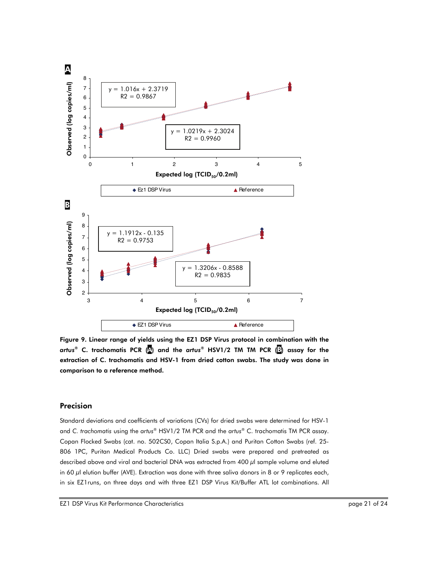

Figure 9. Linear range of yields using the EZ1 DSP Virus protocol in combination with the *artus*® C. trachomatis PCR (A) and the *artus*® HSV1/2 TM TM PCR (B) assay for the extraction of C. trachomatis and HSV-1 from dried cotton swabs. The study was done in comparison to a reference method.

# Precision

Standard deviations and coefficients of variations (CVs) for dried swabs were determined for HSV-1 and *C. trachomatis* using the *artus*® HSV1/2 TM PCR and the *artus*® C. trachomatis TM PCR assay. Copan Flocked Swabs (cat. no. 502CS0, Copan Italia S.p.A.) and Puritan Cotton Swabs (ref. 25- 806 1PC, Puritan Medical Products Co. LLC) Dried swabs were prepared and pretreated as described above and viral and bacterial DNA was extracted from 400 μl sample volume and eluted in 60 μl elution buffer (AVE). Extraction was done with three saliva donors in 8 or 9 replicates each,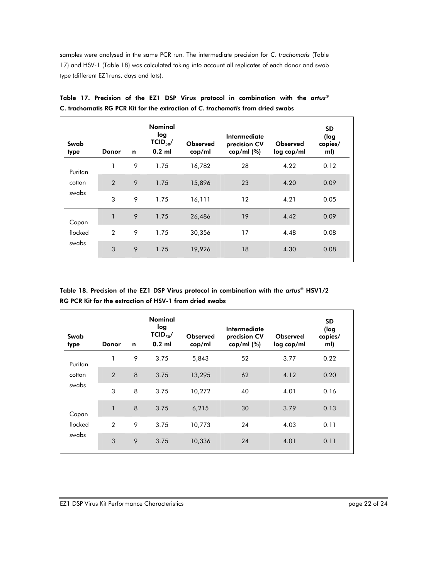samples were analysed in the same PCR run. The intermediate precision for *C. trachomatis* (Table 17) and HSV-1 (Table 18) was calculated taking into account all replicates of each donor and swab type (different EZ1runs, days and lots).

| Donor          | n | <b>Nominal</b><br>log<br>$TCID_{50}/$<br>$0.2$ ml | <b>Observed</b><br>cop/ml | Intermediate<br>precision CV<br>$cop/ml$ (%) | <b>Observed</b><br>log cop/ml | <b>SD</b><br>(log<br>copies/<br>ml) |
|----------------|---|---------------------------------------------------|---------------------------|----------------------------------------------|-------------------------------|-------------------------------------|
|                | 9 | 1.75                                              | 16,782                    | 28                                           | 4.22                          | 0.12                                |
| $\overline{2}$ | 9 | 1.75                                              | 15,896                    | 23                                           | 4.20                          | 0.09                                |
| 3              | 9 | 1.75                                              | 16,111                    | 12                                           | 4.21                          | 0.05                                |
|                | 9 | 1.75                                              | 26,486                    | 19                                           | 4.42                          | 0.09                                |
| $\overline{2}$ | 9 | 1.75                                              | 30,356                    | 17                                           | 4.48                          | 0.08                                |
| 3              | 9 | 1.75                                              | 19,926                    | 18                                           | 4.30                          | 0.08                                |
|                |   |                                                   |                           |                                              |                               |                                     |

Table 17. Precision of the EZ1 DSP Virus protocol in combination with the *artus*® C. trachomatis RG PCR Kit for the extraction of *C. trachomatis* from dried swabs

Table 18. Precision of the EZ1 DSP Virus protocol in combination with the *artus*® HSV1/2 RG PCR Kit for the extraction of HSV-1 from dried swabs

| Swab<br>type     | Donor          | n | <b>Nominal</b><br>log<br>$TCID_{50}/$<br>$0.2$ ml | <b>Observed</b><br>cop/ml | Intermediate<br>precision CV<br>cop/ml $(%)$ | Observed<br>log cop/ml | <b>SD</b><br>(log<br>copies/<br>ml) |
|------------------|----------------|---|---------------------------------------------------|---------------------------|----------------------------------------------|------------------------|-------------------------------------|
| Puritan          |                | 9 | 3.75                                              | 5,843                     | 52                                           | 3.77                   | 0.22                                |
| cotton           | $\overline{2}$ | 8 | 3.75                                              | 13,295                    | 62                                           | 4.12                   | 0.20                                |
| swabs            | 3              | 8 | 3.75                                              | 10,272                    | 40                                           | 4.01                   | 0.16                                |
| Copan            |                | 8 | 3.75                                              | 6,215                     | 30                                           | 3.79                   | 0.13                                |
| flocked<br>swabs | $\overline{2}$ | 9 | 3.75                                              | 10,773                    | 24                                           | 4.03                   | 0.11                                |
|                  | 3              | 9 | 3.75                                              | 10,336                    | 24                                           | 4.01                   | 0.11                                |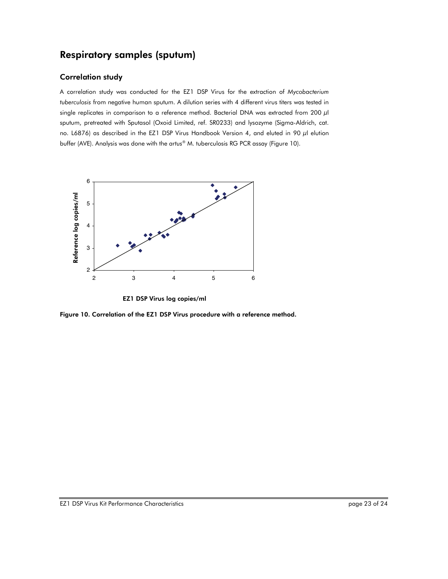# Respiratory samples (sputum)

# Correlation study

A correlation study was conducted for the EZ1 DSP Virus for the extraction of *Mycobacterium tuberculosis* from negative human sputum. A dilution series with 4 different virus titers was tested in single replicates in comparison to a reference method. Bacterial DNA was extracted from 200 μl sputum, pretreated with Sputasol (Oxoid Limited, ref. SR0233) and lysozyme (Sigma-Aldrich, cat. no. L6876) as described in the EZ1 DSP Virus Handbook Version 4, and eluted in 90 μl elution buffer (AVE). Analysis was done with the *artus*® M. tuberculosis RG PCR assay (Figure 10).